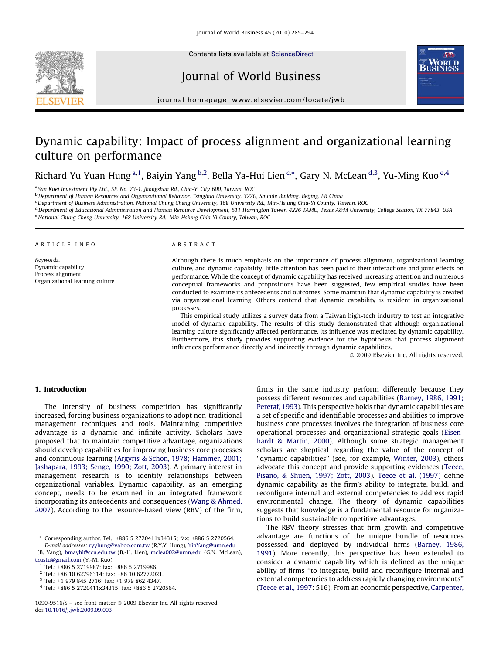

Contents lists available at [ScienceDirect](http://www.sciencedirect.com/science/journal/10909516)

Journal of World Business



journal homepage: www.el sevier.com/locate/jwb

# Dynamic capability: Impact of process alignment and organizational learning culture on performance

Richard Yu Yuan Hung<sup>a,1</sup>, Baiyin Yang <sup>b,2</sup>, Bella Ya-Hui Lien <sup>c,\*</sup>, Gary N. McLean <sup>d,3</sup>, Yu-Ming Kuo <sup>e,4</sup>

<sup>a</sup> San Kuei Investment Pty Ltd., 5F, No. 73-1, Jhongshan Rd., Chia-Yi City 600, Taiwan, ROC

<sup>b</sup> Department of Human Resources and Organizational Behavior, Tsinghua University, 327G, Shunde Building, Beijing, PR China

<sup>c</sup>Department of Business Administration, National Chung Cheng University, 168 University Rd., Min-Hsiung Chia-Yi County, Taiwan, ROC

<sup>d</sup> Department of Educational Administration and Human Resource Development, 511 Harrington Tower, 4226 TAMU, Texas A&M University, College Station, TX 77843, USA e National Chung Cheng University, 168 University Rd., Min-Hsiung Chia-Yi County, Taiwan, ROC

ARTICLE INFO

Keywords: Dynamic capability Process alignment Organizational learning culture

### ABSTRACT

Although there is much emphasis on the importance of process alignment, organizational learning culture, and dynamic capability, little attention has been paid to their interactions and joint effects on performance. While the concept of dynamic capability has received increasing attention and numerous conceptual frameworks and propositions have been suggested, few empirical studies have been conducted to examine its antecedents and outcomes. Some maintain that dynamic capability is created via organizational learning. Others contend that dynamic capability is resident in organizational processes.

This empirical study utilizes a survey data from a Taiwan high-tech industry to test an integrative model of dynamic capability. The results of this study demonstrated that although organizational learning culture significantly affected performance, its influence was mediated by dynamic capability. Furthermore, this study provides supporting evidence for the hypothesis that process alignment influences performance directly and indirectly through dynamic capabilities.

 $\odot$  2009 Elsevier Inc. All rights reserved.

#### 1. Introduction

The intensity of business competition has significantly increased, forcing business organizations to adopt non-traditional management techniques and tools. Maintaining competitive advantage is a dynamic and infinite activity. Scholars have proposed that to maintain competitive advantage, organizations should develop capabilities for improving business core processes and continuous learning [\(Argyris & Schon, 1978; Hammer, 2001;](#page--1-0) [Jashapara, 1993; Senge, 1990; Zott, 2003\)](#page--1-0). A primary interest in management research is to identify relationships between organizational variables. Dynamic capability, as an emerging concept, needs to be examined in an integrated framework incorporating its antecedents and consequences [\(Wang & Ahmed,](#page--1-0) [2007\)](#page--1-0). According to the resource-based view (RBV) of the firm, firms in the same industry perform differently because they possess different resources and capabilities ([Barney, 1986, 1991;](#page--1-0) [Peretaf, 1993](#page--1-0)). This perspective holds that dynamic capabilities are a set of specific and identifiable processes and abilities to improve business core processes involves the integration of business core operational processes and organizational strategic goals [\(Eisen](#page--1-0)[hardt & Martin, 2000\)](#page--1-0). Although some strategic management scholars are skeptical regarding the value of the concept of ''dynamic capabilities'' (see, for example, [Winter, 2003\)](#page--1-0), others advocate this concept and provide supporting evidences [\(Teece,](#page--1-0) [Pisano, & Shuen, 1997; Zott, 2003\)](#page--1-0). [Teece et al. \(1997\)](#page--1-0) define dynamic capability as the firm's ability to integrate, build, and reconfigure internal and external competencies to address rapid environmental change. The theory of dynamic capabilities suggests that knowledge is a fundamental resource for organizations to build sustainable competitive advantages.

The RBV theory stresses that firm growth and competitive advantage are functions of the unique bundle of resources possessed and deployed by individual firms ([Barney, 1986,](#page--1-0) [1991\)](#page--1-0). More recently, this perspective has been extended to consider a dynamic capability which is defined as the unique ability of firms ''to integrate, build and reconfigure internal and external competencies to address rapidly changing environments'' ([Teece et al., 1997:](#page--1-0) 516). From an economic perspective, [Carpenter,](#page--1-0)

Corresponding author. Tel.: +886 5 2720411x34315; fax: +886 5 2720564. E-mail addresses: [ryyhung@yahoo.com.tw](mailto:ryyhung@yahoo.com.tw) (R.Y.Y. Hung), [YinYang@umn.edu](mailto:YinYang@umn.edu)

<sup>(</sup>B. Yang), [bmayhl@ccu.edu.tw](mailto:bmayhl@ccu.edu.tw) (B.-H. Lien), [mclea002@umn.edu](mailto:mclea002@umn.edu) (G.N. McLean), [tzustu@gmail.com](mailto:tzustu@gmail.com) (Y.-M. Kuo).

<sup>1</sup> Tel.: +886 5 2719987; fax: +886 5 2719986.

<sup>2</sup> Tel.: +86 10 62796314; fax: +86 10 62772021.

<sup>3</sup> Tel.: +1 979 845 2716; fax: +1 979 862 4347.

<sup>4</sup> Tel.: +886 5 2720411x34315; fax: +886 5 2720564.

<sup>1090-9516/\$ -</sup> see front matter @ 2009 Elsevier Inc. All rights reserved. doi:[10.1016/j.jwb.2009.09.003](http://dx.doi.org/10.1016/j.jwb.2009.09.003)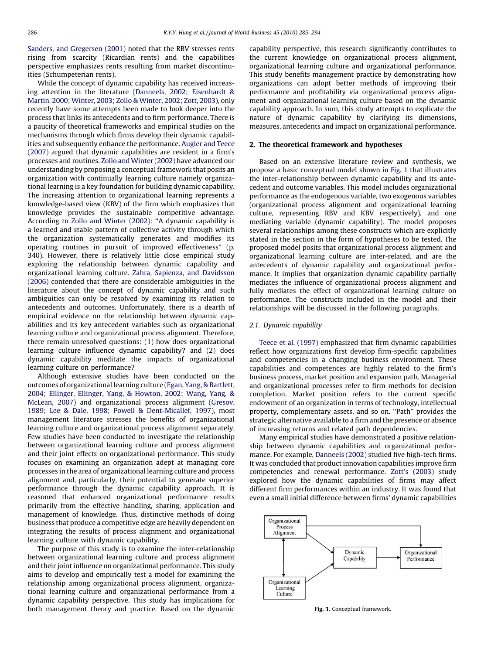perspective emphasizes rents resulting from market discontinu-

ities (Schumpeterian rents). While the concept of dynamic capability has received increasing attention in the literature [\(Danneels, 2002; Eisenhardt &](#page--1-0) [Martin, 2000; Winter, 2003; Zollo & Winter, 2002; Zott, 2003](#page--1-0)), only recently have some attempts been made to look deeper into the process that links its antecedents and to firm performance. There is a paucity of theoretical frameworks and empirical studies on the mechanisms through which firms develop their dynamic capabilities and subsequently enhance the performance. [Augier and Teece](#page--1-0) [\(2007\)](#page--1-0) argued that dynamic capabilities are resident in a firm's processes and routines. [Zollo and Winter \(2002\)](#page--1-0) have advanced our understanding by proposing a conceptual framework that posits an organization with continually learning culture namely organizational learning is a key foundation for building dynamic capability. The increasing attention to organizational learning represents a knowledge-based view (KBV) of the firm which emphasizes that knowledge provides the sustainable competitive advantage. According to [Zollo and Winter \(2002\)](#page--1-0): ''A dynamic capability is a learned and stable pattern of collective activity through which the organization systematically generates and modifies its operating routines in pursuit of improved effectiveness'' (p. 340). However, there is relatively little close empirical study exploring the relationship between dynamic capability and organizational learning culture. [Zahra, Sapienza, and Davidsson](#page--1-0) [\(2006\)](#page--1-0) contended that there are considerable ambiguities in the literature about the concept of dynamic capability and such ambiguities can only be resolved by examining its relation to antecedents and outcomes. Unfortunately, there is a dearth of empirical evidence on the relationship between dynamic capabilities and its key antecedent variables such as organizational learning culture and organizational process alignment. Therefore, there remain unresolved questions: (1) how does organizational learning culture influence dynamic capability? and (2) does dynamic capability meditate the impacts of organizational learning culture on performance?

Although extensive studies have been conducted on the outcomes of organizational learning culture ([Egan, Yang, & Bartlett,](#page--1-0) [2004; Ellinger, Ellinger, Yang, & Howton, 2002; Wang, Yang, &](#page--1-0) [McLean, 2007](#page--1-0)) and organizational process alignment [\(Gresov,](#page--1-0) [1989; Lee & Dale, 1998; Powell & Dent-Micallef, 1997](#page--1-0)), most management literature stresses the benefits of organizational learning culture and organizational process alignment separately. Few studies have been conducted to investigate the relationship between organizational learning culture and process alignment and their joint effects on organizational performance. This study focuses on examining an organization adept at managing core processes in the area of organizational learning culture and process alignment and, particularly, their potential to generate superior performance through the dynamic capability approach. It is reasoned that enhanced organizational performance results primarily from the effective handling, sharing, application and management of knowledge. Thus, distinctive methods of doing business that produce a competitive edge are heavily dependent on integrating the results of process alignment and organizational learning culture with dynamic capability.

The purpose of this study is to examine the inter-relationship between organizational learning culture and process alignment and their joint influence on organizational performance. This study aims to develop and empirically test a model for examining the relationship among organizational process alignment, organizational learning culture and organizational performance from a dynamic capability perspective. This study has implications for both management theory and practice. Based on the dynamic

capability perspective, this research significantly contributes to the current knowledge on organizational process alignment, organizational learning culture and organizational performance. This study benefits management practice by demonstrating how organizations can adopt better methods of improving their performance and profitability via organizational process alignment and organizational learning culture based on the dynamic capability approach. In sum, this study attempts to explicate the nature of dynamic capability by clarifying its dimensions, measures, antecedents and impact on organizational performance.

#### 2. The theoretical framework and hypotheses

Based on an extensive literature review and synthesis, we propose a basic conceptual model shown in Fig. 1 that illustrates the inter-relationship between dynamic capability and its antecedent and outcome variables. This model includes organizational performance as the endogenous variable, two exogenous variables (organizational process alignment and organizational learning culture, representing RBV and KBV respectively), and one mediating variable (dynamic capability). The model proposes several relationships among these constructs which are explicitly stated in the section in the form of hypotheses to be tested. The proposed model posits that organizational process alignment and organizational learning culture are inter-related, and are the antecedents of dynamic capability and organizational performance. It implies that organization dynamic capability partially mediates the influence of organizational process alignment and fully mediates the effect of organizational learning culture on performance. The constructs included in the model and their relationships will be discussed in the following paragraphs.

## 2.1. Dynamic capability

[Teece et al. \(1997\)](#page--1-0) emphasized that firm dynamic capabilities reflect how organizations first develop firm-specific capabilities and competencies in a changing business environment. These capabilities and competences are highly related to the firm's business process, market position and expansion path. Managerial and organizational processes refer to firm methods for decision completion. Market position refers to the current specific endowment of an organization in terms of technology, intellectual property, complementary assets, and so on. ''Path'' provides the strategic alternative available to a firm and the presence or absence of increasing returns and related path dependencies.

Many empirical studies have demonstrated a positive relationship between dynamic capabilities and organizational performance. For example, [Danneels \(2002\)](#page--1-0) studied five high-tech firms. It was concluded that product innovation capabilities improve firm competencies and renewal performance. [Zott's \(2003\)](#page--1-0) study explored how the dynamic capabilities of firms may affect different firm performances within an industry. It was found that even a small initial difference between firms' dynamic capabilities



Fig. 1. Conceptual framework.